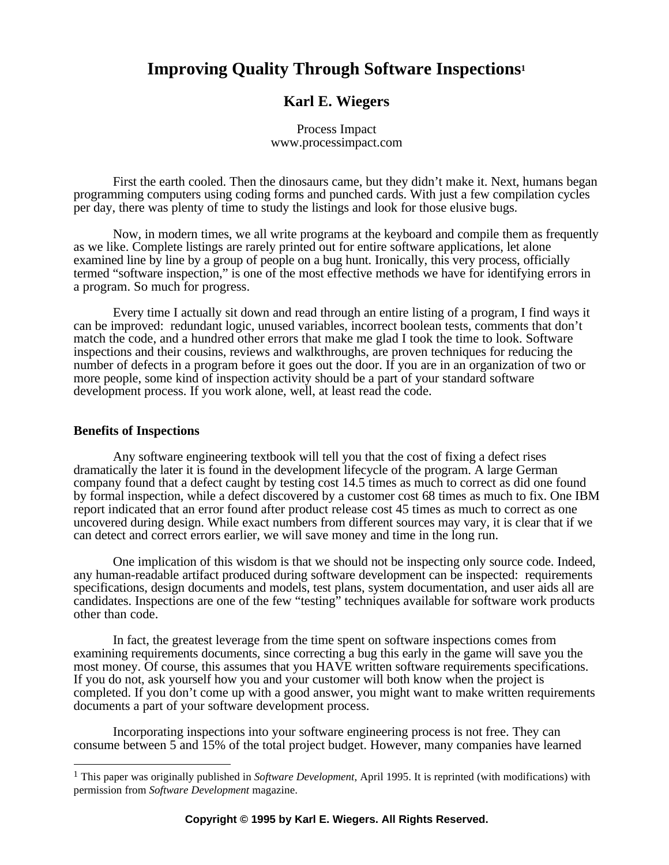## **Karl E. Wiegers**

Process Impact www.processimpact.com

First the earth cooled. Then the dinosaurs came, but they didn't make it. Next, humans began programming computers using coding forms and punched cards. With just a few compilation cycles per day, there was plenty of time to study the listings and look for those elusive bugs.

Now, in modern times, we all write programs at the keyboard and compile them as frequently as we like. Complete listings are rarely printed out for entire software applications, let alone examined line by line by a group of people on a bug hunt. Ironically, this very process, officially termed "software inspection," is one of the most effective methods we have for identifying errors in a program. So much for progress.

Every time I actually sit down and read through an entire listing of a program, I find ways it can be improved: redundant logic, unused variables, incorrect boolean tests, comments that don't match the code, and a hundred other errors that make me glad I took the time to look. Software inspections and their cousins, reviews and walkthroughs, are proven techniques for reducing the number of defects in a program before it goes out the door. If you are in an organization of two or more people, some kind of inspection activity should be a part of your standard software development process. If you work alone, well, at least read the code.

### **Benefits of Inspections**

<u>.</u>

Any software engineering textbook will tell you that the cost of fixing a defect rises dramatically the later it is found in the development lifecycle of the program. A large German company found that a defect caught by testing cost 14.5 times as much to correct as did one found by formal inspection, while a defect discovered by a customer cost 68 times as much to fix. One IBM report indicated that an error found after product release cost 45 times as much to correct as one uncovered during design. While exact numbers from different sources may vary, it is clear that if we can detect and correct errors earlier, we will save money and time in the long run.

One implication of this wisdom is that we should not be inspecting only source code. Indeed, any human-readable artifact produced during software development can be inspected: requirements specifications, design documents and models, test plans, system documentation, and user aids all are candidates. Inspections are one of the few "testing" techniques available for software work products other than code.

In fact, the greatest leverage from the time spent on software inspections comes from examining requirements documents, since correcting a bug this early in the game will save you the most money. Of course, this assumes that you HAVE written software requirements specifications. If you do not, ask yourself how you and your customer will both know when the project is completed. If you don't come up with a good answer, you might want to make written requirements documents a part of your software development process.

Incorporating inspections into your software engineering process is not free. They can consume between 5 and 15% of the total project budget. However, many companies have learned

<sup>&</sup>lt;sup>1</sup> This paper was originally published in *Software Development*, April 1995. It is reprinted (with modifications) with permission from *Software Development* magazine.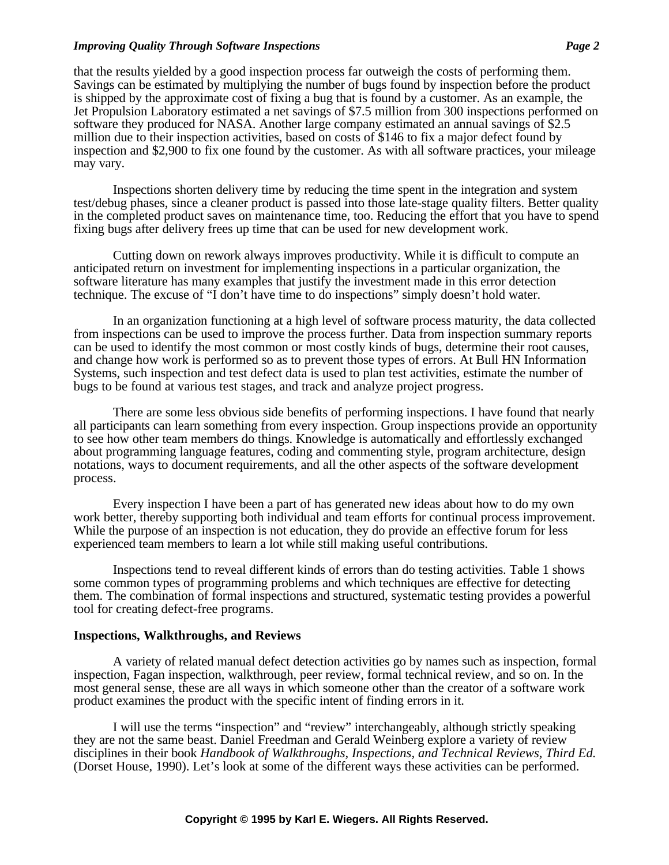that the results yielded by a good inspection process far outweigh the costs of performing them. Savings can be estimated by multiplying the number of bugs found by inspection before the product is shipped by the approximate cost of fixing a bug that is found by a customer. As an example, the Jet Propulsion Laboratory estimated a net savings of \$7.5 million from 300 inspections performed on software they produced for NASA. Another large company estimated an annual savings of \$2.5 million due to their inspection activities, based on costs of \$146 to fix a major defect found by inspection and \$2,900 to fix one found by the customer. As with all software practices, your mileage may vary.

Inspections shorten delivery time by reducing the time spent in the integration and system test/debug phases, since a cleaner product is passed into those late-stage quality filters. Better quality in the completed product saves on maintenance time, too. Reducing the effort that you have to spend fixing bugs after delivery frees up time that can be used for new development work.

Cutting down on rework always improves productivity. While it is difficult to compute an anticipated return on investment for implementing inspections in a particular organization, the software literature has many examples that justify the investment made in this error detection technique. The excuse of "I don't have time to do inspections" simply doesn't hold water.

In an organization functioning at a high level of software process maturity, the data collected from inspections can be used to improve the process further. Data from inspection summary reports can be used to identify the most common or most costly kinds of bugs, determine their root causes, and change how work is performed so as to prevent those types of errors. At Bull HN Information Systems, such inspection and test defect data is used to plan test activities, estimate the number of bugs to be found at various test stages, and track and analyze project progress.

There are some less obvious side benefits of performing inspections. I have found that nearly all participants can learn something from every inspection. Group inspections provide an opportunity to see how other team members do things. Knowledge is automatically and effortlessly exchanged about programming language features, coding and commenting style, program architecture, design notations, ways to document requirements, and all the other aspects of the software development process.

Every inspection I have been a part of has generated new ideas about how to do my own work better, thereby supporting both individual and team efforts for continual process improvement. While the purpose of an inspection is not education, they do provide an effective forum for less experienced team members to learn a lot while still making useful contributions.

Inspections tend to reveal different kinds of errors than do testing activities. Table 1 shows some common types of programming problems and which techniques are effective for detecting them. The combination of formal inspections and structured, systematic testing provides a powerful tool for creating defect-free programs.

### **Inspections, Walkthroughs, and Reviews**

A variety of related manual defect detection activities go by names such as inspection, formal inspection, Fagan inspection, walkthrough, peer review, formal technical review, and so on. In the most general sense, these are all ways in which someone other than the creator of a software work product examines the product with the specific intent of finding errors in it.

I will use the terms "inspection" and "review" interchangeably, although strictly speaking they are not the same beast. Daniel Freedman and Gerald Weinberg explore a variety of review disciplines in their book *Handbook of Walkthroughs, Inspections, and Technical Reviews, Third Ed.* (Dorset House, 1990). Let's look at some of the different ways these activities can be performed.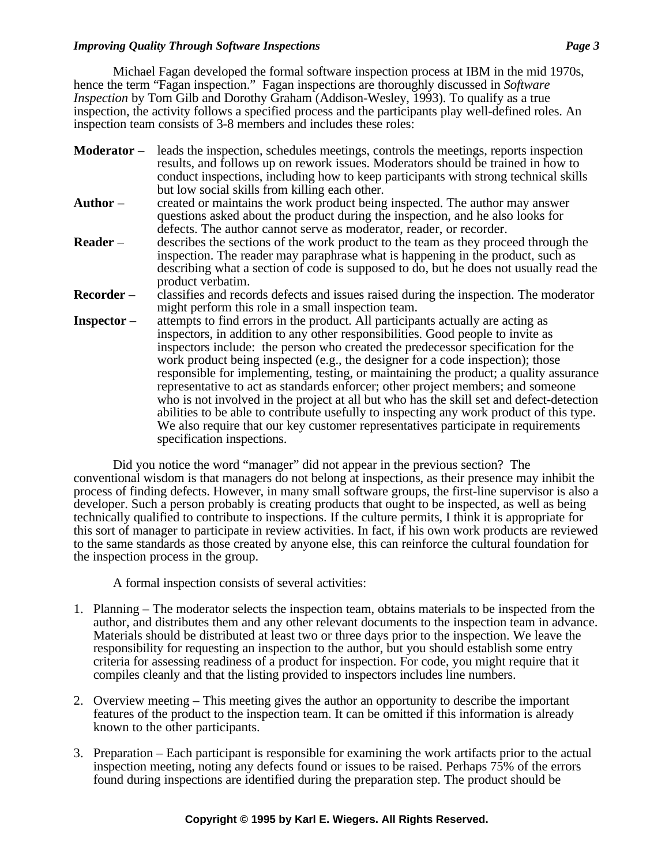Michael Fagan developed the formal software inspection process at IBM in the mid 1970s, hence the term "Fagan inspection." Fagan inspections are thoroughly discussed in *Software Inspection* by Tom Gilb and Dorothy Graham (Addison-Wesley, 1993). To qualify as a true inspection, the activity follows a specified process and the participants play well-defined roles. An inspection team consists of 3-8 members and includes these roles:

- **Moderator** leads the inspection, schedules meetings, controls the meetings, reports inspection results, and follows up on rework issues. Moderators should be trained in how to conduct inspections, including how to keep participants with strong technical skills but low social skills from killing each other.
- **Author** created or maintains the work product being inspected. The author may answer questions asked about the product during the inspection, and he also looks for defects. The author cannot serve as moderator, reader, or recorder.
- **Reader** describes the sections of the work product to the team as they proceed through the inspection. The reader may paraphrase what is happening in the product, such as describing what a section of code is supposed to do, but he does not usually read the product verbatim.
- **Recorder** classifies and records defects and issues raised during the inspection. The moderator might perform this role in a small inspection team.
- **Inspector** attempts to find errors in the product. All participants actually are acting as inspectors, in addition to any other responsibilities. Good people to invite as inspectors include: the person who created the predecessor specification for the work product being inspected (e.g., the designer for a code inspection); those responsible for implementing, testing, or maintaining the product; a quality assurance representative to act as standards enforcer; other project members; and someone who is not involved in the project at all but who has the skill set and defect-detection abilities to be able to contribute usefully to inspecting any work product of this type. We also require that our key customer representatives participate in requirements specification inspections.

Did you notice the word "manager" did not appear in the previous section? The conventional wisdom is that managers do not belong at inspections, as their presence may inhibit the process of finding defects. However, in many small software groups, the first-line supervisor is also a developer. Such a person probably is creating products that ought to be inspected, as well as being technically qualified to contribute to inspections. If the culture permits, I think it is appropriate for this sort of manager to participate in review activities. In fact, if his own work products are reviewed to the same standards as those created by anyone else, this can reinforce the cultural foundation for the inspection process in the group.

A formal inspection consists of several activities:

- 1. Planning The moderator selects the inspection team, obtains materials to be inspected from the author, and distributes them and any other relevant documents to the inspection team in advance. Materials should be distributed at least two or three days prior to the inspection. We leave the responsibility for requesting an inspection to the author, but you should establish some entry criteria for assessing readiness of a product for inspection. For code, you might require that it compiles cleanly and that the listing provided to inspectors includes line numbers.
- 2. Overview meeting This meeting gives the author an opportunity to describe the important features of the product to the inspection team. It can be omitted if this information is already known to the other participants.
- 3. Preparation Each participant is responsible for examining the work artifacts prior to the actual inspection meeting, noting any defects found or issues to be raised. Perhaps 75% of the errors found during inspections are identified during the preparation step. The product should be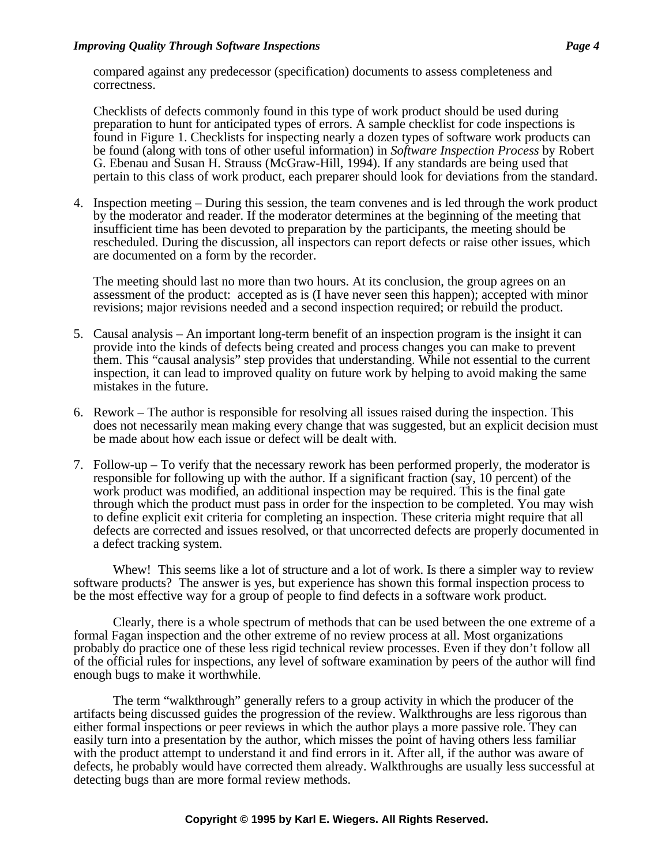compared against any predecessor (specification) documents to assess completeness and correctness.

Checklists of defects commonly found in this type of work product should be used during preparation to hunt for anticipated types of errors. A sample checklist for code inspections is found in Figure 1. Checklists for inspecting nearly a dozen types of software work products can be found (along with tons of other useful information) in *Software Inspection Process* by Robert G. Ebenau and Susan H. Strauss (McGraw-Hill, 1994). If any standards are being used that pertain to this class of work product, each preparer should look for deviations from the standard.

4. Inspection meeting – During this session, the team convenes and is led through the work product by the moderator and reader. If the moderator determines at the beginning of the meeting that insufficient time has been devoted to preparation by the participants, the meeting should be rescheduled. During the discussion, all inspectors can report defects or raise other issues, which are documented on a form by the recorder.

The meeting should last no more than two hours. At its conclusion, the group agrees on an assessment of the product: accepted as is (I have never seen this happen); accepted with minor revisions; major revisions needed and a second inspection required; or rebuild the product.

- 5. Causal analysis An important long-term benefit of an inspection program is the insight it can provide into the kinds of defects being created and process changes you can make to prevent them. This "causal analysis" step provides that understanding. While not essential to the current inspection, it can lead to improved quality on future work by helping to avoid making the same mistakes in the future.
- 6. Rework The author is responsible for resolving all issues raised during the inspection. This does not necessarily mean making every change that was suggested, but an explicit decision must be made about how each issue or defect will be dealt with.
- 7. Follow-up To verify that the necessary rework has been performed properly, the moderator is responsible for following up with the author. If a significant fraction (say, 10 percent) of the work product was modified, an additional inspection may be required. This is the final gate through which the product must pass in order for the inspection to be completed. You may wish to define explicit exit criteria for completing an inspection. These criteria might require that all defects are corrected and issues resolved, or that uncorrected defects are properly documented in a defect tracking system.

Whew! This seems like a lot of structure and a lot of work. Is there a simpler way to review software products? The answer is yes, but experience has shown this formal inspection process to be the most effective way for a group of people to find defects in a software work product.

Clearly, there is a whole spectrum of methods that can be used between the one extreme of a formal Fagan inspection and the other extreme of no review process at all. Most organizations probably do practice one of these less rigid technical review processes. Even if they don't follow all of the official rules for inspections, any level of software examination by peers of the author will find enough bugs to make it worthwhile.

The term "walkthrough" generally refers to a group activity in which the producer of the artifacts being discussed guides the progression of the review. Walkthroughs are less rigorous than either formal inspections or peer reviews in which the author plays a more passive role. They can easily turn into a presentation by the author, which misses the point of having others less familiar with the product attempt to understand it and find errors in it. After all, if the author was aware of defects, he probably would have corrected them already. Walkthroughs are usually less successful at detecting bugs than are more formal review methods.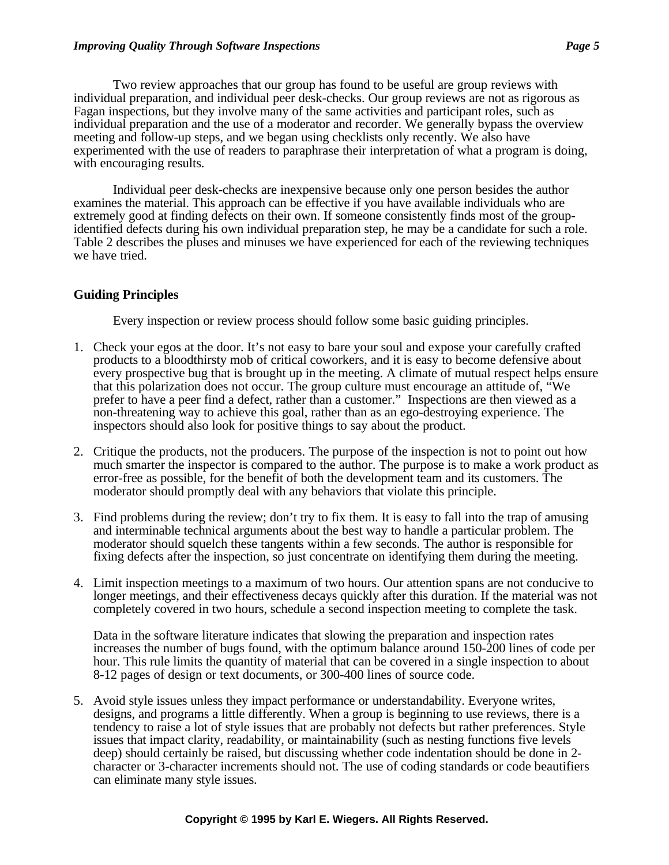Two review approaches that our group has found to be useful are group reviews with individual preparation, and individual peer desk-checks. Our group reviews are not as rigorous as Fagan inspections, but they involve many of the same activities and participant roles, such as individual preparation and the use of a moderator and recorder. We generally bypass the overview meeting and follow-up steps, and we began using checklists only recently. We also have experimented with the use of readers to paraphrase their interpretation of what a program is doing, with encouraging results.

Individual peer desk-checks are inexpensive because only one person besides the author examines the material. This approach can be effective if you have available individuals who are extremely good at finding defects on their own. If someone consistently finds most of the groupidentified defects during his own individual preparation step, he may be a candidate for such a role. Table 2 describes the pluses and minuses we have experienced for each of the reviewing techniques we have tried.

## **Guiding Principles**

Every inspection or review process should follow some basic guiding principles.

- 1. Check your egos at the door. It's not easy to bare your soul and expose your carefully crafted products to a bloodthirsty mob of critical coworkers, and it is easy to become defensive about every prospective bug that is brought up in the meeting. A climate of mutual respect helps ensure that this polarization does not occur. The group culture must encourage an attitude of, "We prefer to have a peer find a defect, rather than a customer." Inspections are then viewed as a non-threatening way to achieve this goal, rather than as an ego-destroying experience. The inspectors should also look for positive things to say about the product.
- 2. Critique the products, not the producers. The purpose of the inspection is not to point out how much smarter the inspector is compared to the author. The purpose is to make a work product as error-free as possible, for the benefit of both the development team and its customers. The moderator should promptly deal with any behaviors that violate this principle.
- 3. Find problems during the review; don't try to fix them. It is easy to fall into the trap of amusing and interminable technical arguments about the best way to handle a particular problem. The moderator should squelch these tangents within a few seconds. The author is responsible for fixing defects after the inspection, so just concentrate on identifying them during the meeting.
- 4. Limit inspection meetings to a maximum of two hours. Our attention spans are not conducive to longer meetings, and their effectiveness decays quickly after this duration. If the material was not completely covered in two hours, schedule a second inspection meeting to complete the task.

Data in the software literature indicates that slowing the preparation and inspection rates increases the number of bugs found, with the optimum balance around 150-200 lines of code per hour. This rule limits the quantity of material that can be covered in a single inspection to about 8-12 pages of design or text documents, or 300-400 lines of source code.

5. Avoid style issues unless they impact performance or understandability. Everyone writes, designs, and programs a little differently. When a group is beginning to use reviews, there is a tendency to raise a lot of style issues that are probably not defects but rather preferences. Style issues that impact clarity, readability, or maintainability (such as nesting functions five levels deep) should certainly be raised, but discussing whether code indentation should be done in 2 character or 3-character increments should not. The use of coding standards or code beautifiers can eliminate many style issues.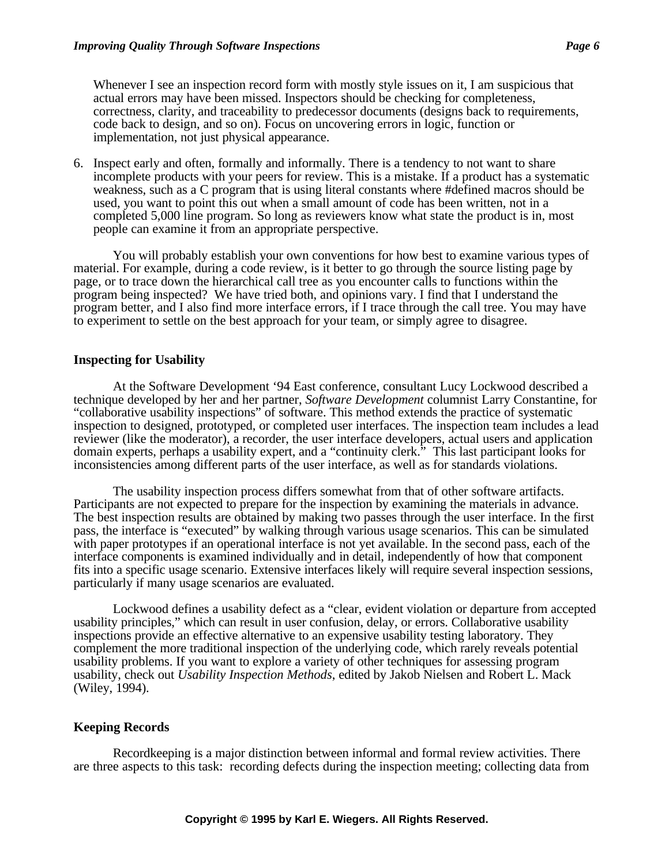Whenever I see an inspection record form with mostly style issues on it, I am suspicious that actual errors may have been missed. Inspectors should be checking for completeness, correctness, clarity, and traceability to predecessor documents (designs back to requirements, code back to design, and so on). Focus on uncovering errors in logic, function or implementation, not just physical appearance.

6. Inspect early and often, formally and informally. There is a tendency to not want to share incomplete products with your peers for review. This is a mistake. If a product has a systematic weakness, such as a C program that is using literal constants where #defined macros should be used, you want to point this out when a small amount of code has been written, not in a completed 5,000 line program. So long as reviewers know what state the product is in, most people can examine it from an appropriate perspective.

You will probably establish your own conventions for how best to examine various types of material. For example, during a code review, is it better to go through the source listing page by page, or to trace down the hierarchical call tree as you encounter calls to functions within the program being inspected? We have tried both, and opinions vary. I find that I understand the program better, and I also find more interface errors, if I trace through the call tree. You may have to experiment to settle on the best approach for your team, or simply agree to disagree.

### **Inspecting for Usability**

At the Software Development '94 East conference, consultant Lucy Lockwood described a technique developed by her and her partner, *Software Development* columnist Larry Constantine, for "collaborative usability inspections" of software. This method extends the practice of systematic inspection to designed, prototyped, or completed user interfaces. The inspection team includes a lead reviewer (like the moderator), a recorder, the user interface developers, actual users and application domain experts, perhaps a usability expert, and a "continuity clerk." This last participant looks for inconsistencies among different parts of the user interface, as well as for standards violations.

The usability inspection process differs somewhat from that of other software artifacts. Participants are not expected to prepare for the inspection by examining the materials in advance. The best inspection results are obtained by making two passes through the user interface. In the first pass, the interface is "executed" by walking through various usage scenarios. This can be simulated with paper prototypes if an operational interface is not yet available. In the second pass, each of the interface components is examined individually and in detail, independently of how that component fits into a specific usage scenario. Extensive interfaces likely will require several inspection sessions, particularly if many usage scenarios are evaluated.

Lockwood defines a usability defect as a "clear, evident violation or departure from accepted usability principles," which can result in user confusion, delay, or errors. Collaborative usability inspections provide an effective alternative to an expensive usability testing laboratory. They complement the more traditional inspection of the underlying code, which rarely reveals potential usability problems. If you want to explore a variety of other techniques for assessing program usability, check out *Usability Inspection Methods*, edited by Jakob Nielsen and Robert L. Mack (Wiley, 1994).

### **Keeping Records**

Recordkeeping is a major distinction between informal and formal review activities. There are three aspects to this task: recording defects during the inspection meeting; collecting data from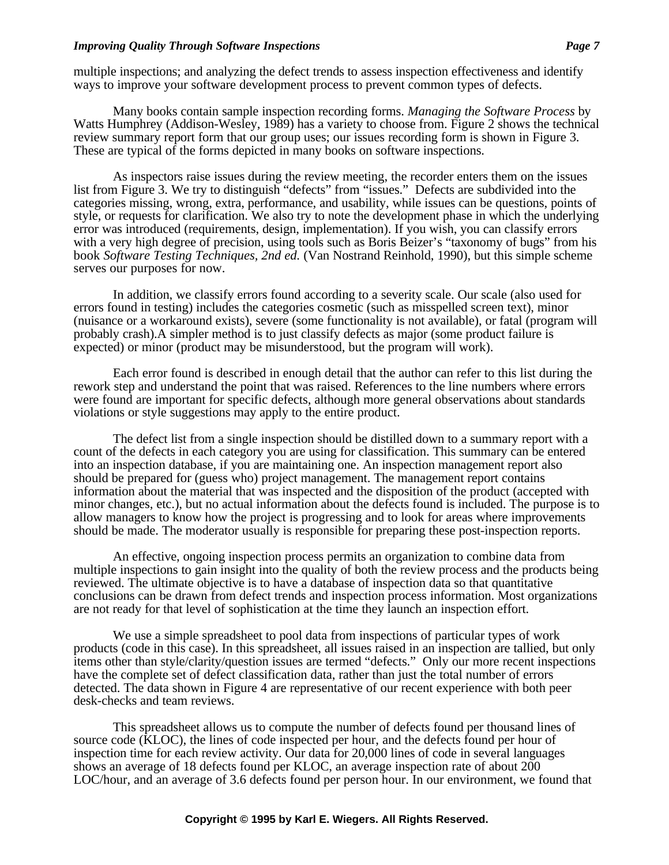multiple inspections; and analyzing the defect trends to assess inspection effectiveness and identify ways to improve your software development process to prevent common types of defects.

Many books contain sample inspection recording forms. *Managing the Software Process* by Watts Humphrey (Addison-Wesley, 1989) has a variety to choose from. Figure 2 shows the technical review summary report form that our group uses; our issues recording form is shown in Figure 3. These are typical of the forms depicted in many books on software inspections.

As inspectors raise issues during the review meeting, the recorder enters them on the issues list from Figure 3. We try to distinguish "defects" from "issues." Defects are subdivided into the categories missing, wrong, extra, performance, and usability, while issues can be questions, points of style, or requests for clarification. We also try to note the development phase in which the underlying error was introduced (requirements, design, implementation). If you wish, you can classify errors with a very high degree of precision, using tools such as Boris Beizer's "taxonomy of bugs" from his book *Software Testing Techniques, 2nd ed.* (Van Nostrand Reinhold, 1990), but this simple scheme serves our purposes for now.

In addition, we classify errors found according to a severity scale. Our scale (also used for errors found in testing) includes the categories cosmetic (such as misspelled screen text), minor (nuisance or a workaround exists), severe (some functionality is not available), or fatal (program will probably crash).A simpler method is to just classify defects as major (some product failure is expected) or minor (product may be misunderstood, but the program will work).

Each error found is described in enough detail that the author can refer to this list during the rework step and understand the point that was raised. References to the line numbers where errors were found are important for specific defects, although more general observations about standards violations or style suggestions may apply to the entire product.

The defect list from a single inspection should be distilled down to a summary report with a count of the defects in each category you are using for classification. This summary can be entered into an inspection database, if you are maintaining one. An inspection management report also should be prepared for (guess who) project management. The management report contains information about the material that was inspected and the disposition of the product (accepted with minor changes, etc.), but no actual information about the defects found is included. The purpose is to allow managers to know how the project is progressing and to look for areas where improvements should be made. The moderator usually is responsible for preparing these post-inspection reports.

An effective, ongoing inspection process permits an organization to combine data from multiple inspections to gain insight into the quality of both the review process and the products being reviewed. The ultimate objective is to have a database of inspection data so that quantitative conclusions can be drawn from defect trends and inspection process information. Most organizations are not ready for that level of sophistication at the time they launch an inspection effort.

We use a simple spreadsheet to pool data from inspections of particular types of work products (code in this case). In this spreadsheet, all issues raised in an inspection are tallied, but only items other than style/clarity/question issues are termed "defects." Only our more recent inspections have the complete set of defect classification data, rather than just the total number of errors detected. The data shown in Figure 4 are representative of our recent experience with both peer desk-checks and team reviews.

This spreadsheet allows us to compute the number of defects found per thousand lines of source code (KLOC), the lines of code inspected per hour, and the defects found per hour of inspection time for each review activity. Our data for 20,000 lines of code in several languages shows an average of 18 defects found per KLOC, an average inspection rate of about 200 LOC/hour, and an average of 3.6 defects found per person hour. In our environment, we found that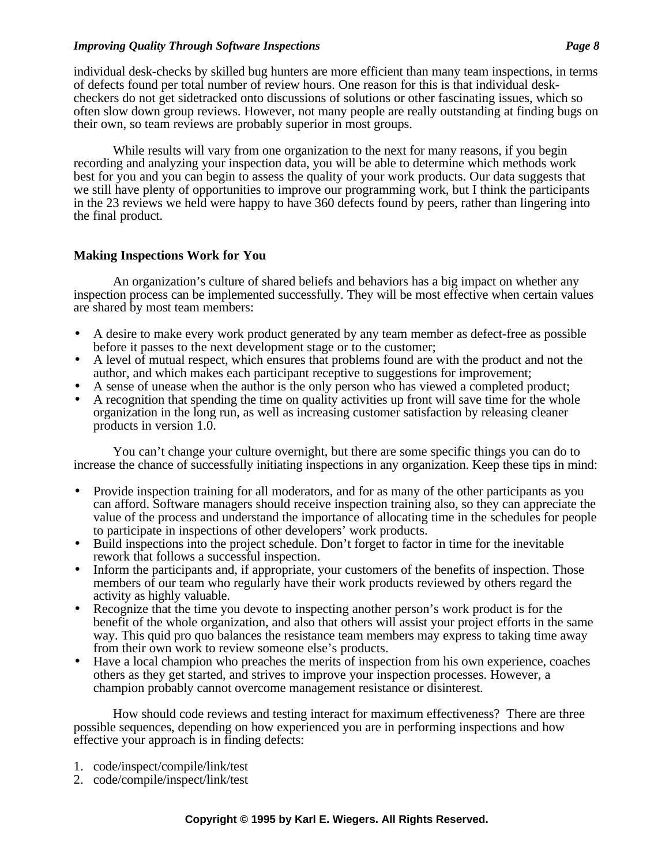individual desk-checks by skilled bug hunters are more efficient than many team inspections, in terms of defects found per total number of review hours. One reason for this is that individual deskcheckers do not get sidetracked onto discussions of solutions or other fascinating issues, which so often slow down group reviews. However, not many people are really outstanding at finding bugs on their own, so team reviews are probably superior in most groups.

While results will vary from one organization to the next for many reasons, if you begin recording and analyzing your inspection data, you will be able to determine which methods work best for you and you can begin to assess the quality of your work products. Our data suggests that we still have plenty of opportunities to improve our programming work, but I think the participants in the 23 reviews we held were happy to have 360 defects found by peers, rather than lingering into the final product.

### **Making Inspections Work for You**

An organization's culture of shared beliefs and behaviors has a big impact on whether any inspection process can be implemented successfully. They will be most effective when certain values are shared by most team members:

- A desire to make every work product generated by any team member as defect-free as possible before it passes to the next development stage or to the customer;
- A level of mutual respect, which ensures that problems found are with the product and not the author, and which makes each participant receptive to suggestions for improvement;
- A sense of unease when the author is the only person who has viewed a completed product;
- A recognition that spending the time on quality activities up front will save time for the whole organization in the long run, as well as increasing customer satisfaction by releasing cleaner products in version 1.0.

You can't change your culture overnight, but there are some specific things you can do to increase the chance of successfully initiating inspections in any organization. Keep these tips in mind:

- Provide inspection training for all moderators, and for as many of the other participants as you can afford. Software managers should receive inspection training also, so they can appreciate the value of the process and understand the importance of allocating time in the schedules for people to participate in inspections of other developers' work products.
- Build inspections into the project schedule. Don't forget to factor in time for the inevitable rework that follows a successful inspection.
- Inform the participants and, if appropriate, your customers of the benefits of inspection. Those members of our team who regularly have their work products reviewed by others regard the activity as highly valuable.
- Recognize that the time you devote to inspecting another person's work product is for the benefit of the whole organization, and also that others will assist your project efforts in the same way. This quid pro quo balances the resistance team members may express to taking time away from their own work to review someone else's products.
- Have a local champion who preaches the merits of inspection from his own experience, coaches others as they get started, and strives to improve your inspection processes. However, a champion probably cannot overcome management resistance or disinterest.

How should code reviews and testing interact for maximum effectiveness? There are three possible sequences, depending on how experienced you are in performing inspections and how effective your approach is in finding defects:

- 1. code/inspect/compile/link/test
- 2. code/compile/inspect/link/test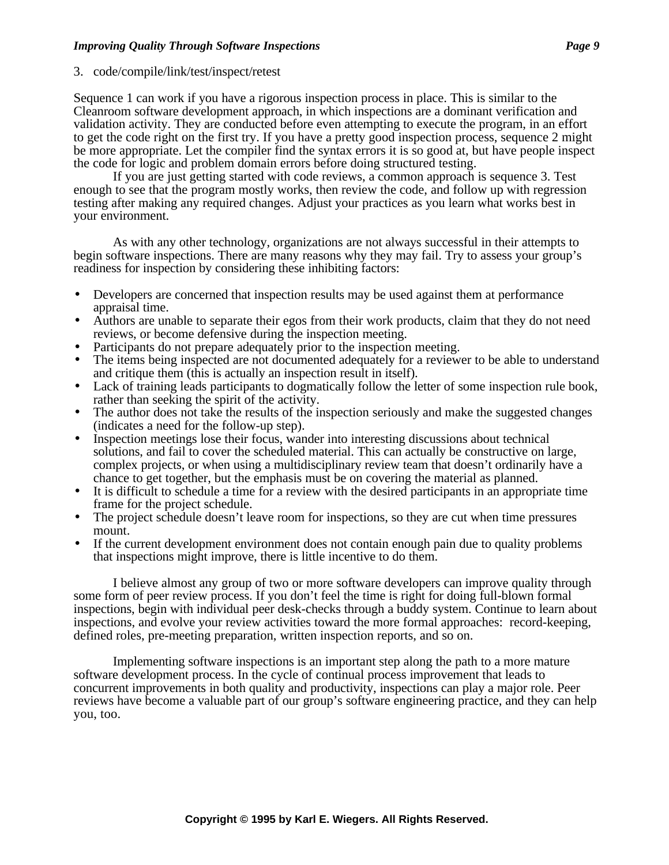### 3. code/compile/link/test/inspect/retest

Sequence 1 can work if you have a rigorous inspection process in place. This is similar to the Cleanroom software development approach, in which inspections are a dominant verification and validation activity. They are conducted before even attempting to execute the program, in an effort to get the code right on the first try. If you have a pretty good inspection process, sequence 2 might be more appropriate. Let the compiler find the syntax errors it is so good at, but have people inspect the code for logic and problem domain errors before doing structured testing.

If you are just getting started with code reviews, a common approach is sequence 3. Test enough to see that the program mostly works, then review the code, and follow up with regression testing after making any required changes. Adjust your practices as you learn what works best in your environment.

As with any other technology, organizations are not always successful in their attempts to begin software inspections. There are many reasons why they may fail. Try to assess your group's readiness for inspection by considering these inhibiting factors:

- Developers are concerned that inspection results may be used against them at performance appraisal time.
- Authors are unable to separate their egos from their work products, claim that they do not need reviews, or become defensive during the inspection meeting.
- Participants do not prepare adequately prior to the inspection meeting.
- The items being inspected are not documented adequately for a reviewer to be able to understand and critique them (this is actually an inspection result in itself).
- Lack of training leads participants to dogmatically follow the letter of some inspection rule book, rather than seeking the spirit of the activity.
- The author does not take the results of the inspection seriously and make the suggested changes (indicates a need for the follow-up step).
- Inspection meetings lose their focus, wander into interesting discussions about technical solutions, and fail to cover the scheduled material. This can actually be constructive on large, complex projects, or when using a multidisciplinary review team that doesn't ordinarily have a chance to get together, but the emphasis must be on covering the material as planned.
- It is difficult to schedule a time for a review with the desired participants in an appropriate time frame for the project schedule.
- The project schedule doesn't leave room for inspections, so they are cut when time pressures mount.
- If the current development environment does not contain enough pain due to quality problems that inspections might improve, there is little incentive to do them.

I believe almost any group of two or more software developers can improve quality through some form of peer review process. If you don't feel the time is right for doing full-blown formal inspections, begin with individual peer desk-checks through a buddy system. Continue to learn about inspections, and evolve your review activities toward the more formal approaches: record-keeping, defined roles, pre-meeting preparation, written inspection reports, and so on.

Implementing software inspections is an important step along the path to a more mature software development process. In the cycle of continual process improvement that leads to concurrent improvements in both quality and productivity, inspections can play a major role. Peer reviews have become a valuable part of our group's software engineering practice, and they can help you, too.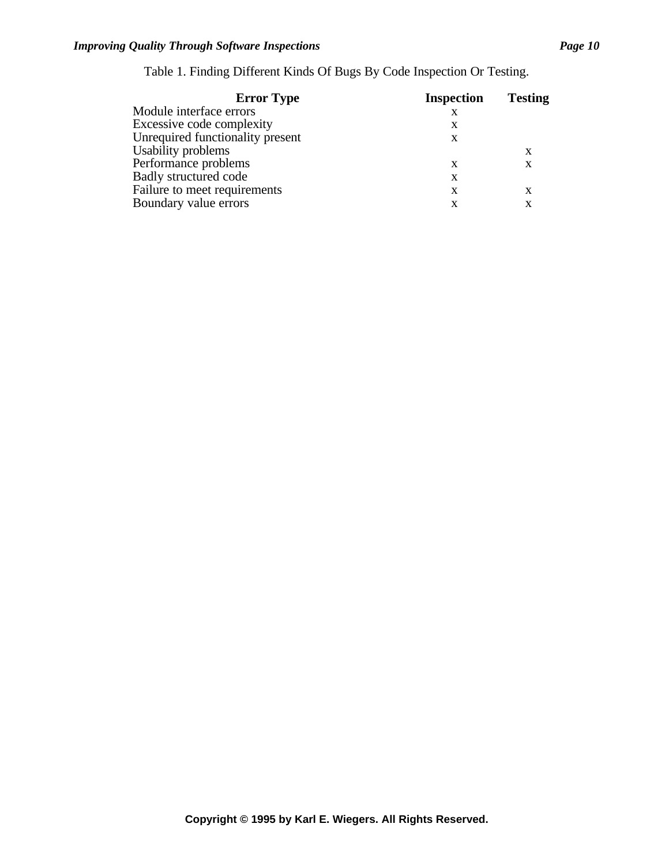| <b>Error Type</b>                | <b>Inspection</b> | <b>Testing</b> |  |
|----------------------------------|-------------------|----------------|--|
| Module interface errors          | x                 |                |  |
| Excessive code complexity        | X                 |                |  |
| Unrequired functionality present | x                 |                |  |
| Usability problems               |                   |                |  |
| Performance problems             | X                 | X              |  |
| Badly structured code            | X                 |                |  |
| Failure to meet requirements     | X                 |                |  |
| Boundary value errors            | X                 |                |  |

Table 1. Finding Different Kinds Of Bugs By Code Inspection Or Testing.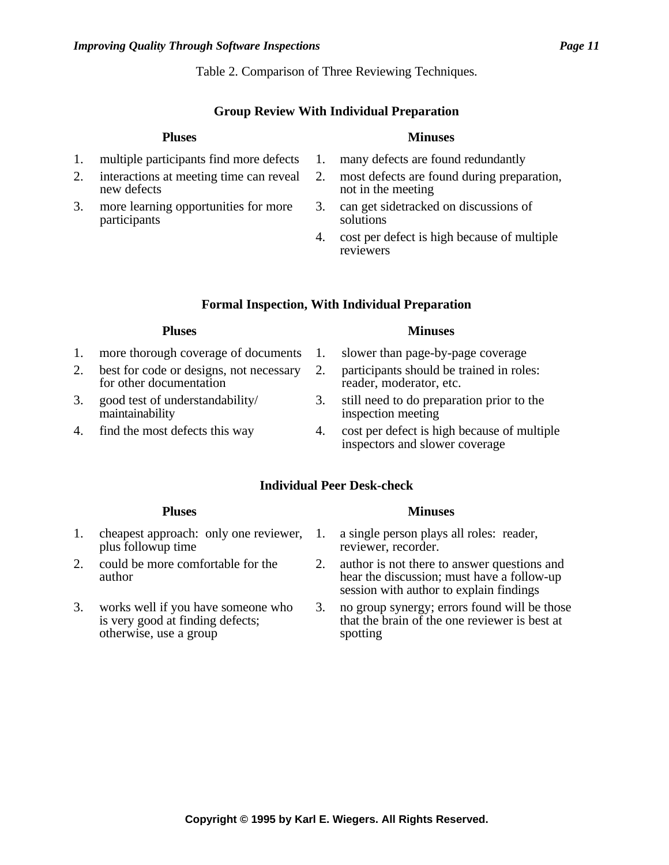### **Group Review With Individual Preparation**

- 1. multiple participants find more defects 1. many defects are found redundantly
- 2. interactions at meeting time can reveal new defects
- 3. more learning opportunities for more participants

### **Pluses Minuses**

- 
- 2. most defects are found during preparation, not in the meeting
- 3. can get sidetracked on discussions of solutions
- 4. cost per defect is high because of multiple reviewers

### **Formal Inspection, With Individual Preparation**

### **Pluses Minuses**

- 1. more thorough coverage of documents 1. slower than page-by-page coverage
- 2. best for code or designs, not necessary for other documentation
- 3. good test of understandability/ maintainability
- 

- 
- 2. participants should be trained in roles: reader, moderator, etc.
- 3. still need to do preparation prior to the inspection meeting
- 4. find the most defects this way 4. cost per defect is high because of multiple inspectors and slower coverage

### **Individual Peer Desk-check**

- 1. cheapest approach: only one reviewer, plus followup time
- 2. could be more comfortable for the author
- 3. works well if you have someone who is very good at finding defects; otherwise, use a group

### **Pluses Minuses**

- 1. a single person plays all roles: reader, reviewer, recorder.
- 2. author is not there to answer questions and hear the discussion; must have a follow-up session with author to explain findings
- 3. no group synergy; errors found will be those that the brain of the one reviewer is best at spotting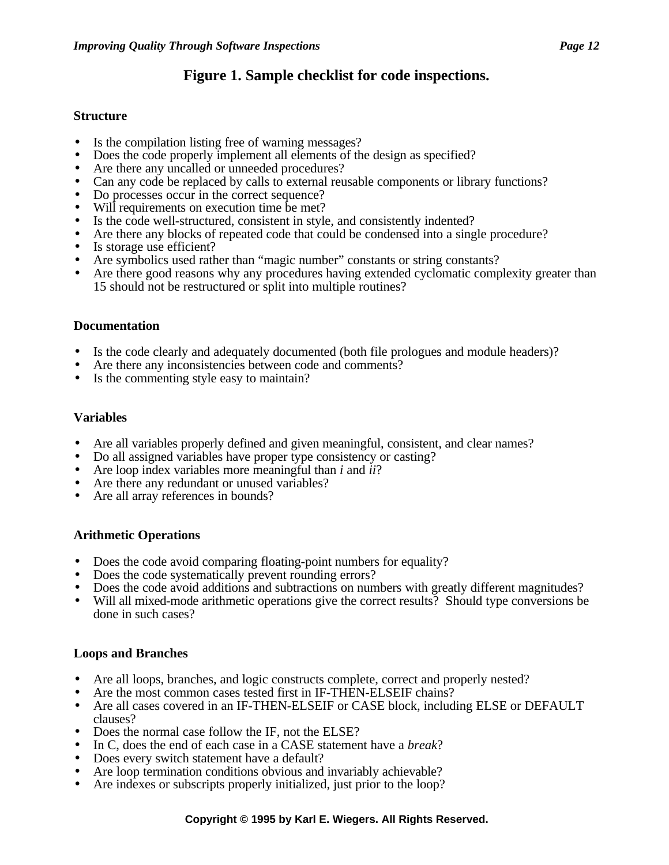## **Figure 1. Sample checklist for code inspections.**

### **Structure**

- Is the compilation listing free of warning messages?
- Does the code properly implement all elements of the design as specified?
- Are there any uncalled or unneeded procedures?
- Can any code be replaced by calls to external reusable components or library functions?
- Do processes occur in the correct sequence?
- Will requirements on execution time be met?
- Is the code well-structured, consistent in style, and consistently indented?
- Are there any blocks of repeated code that could be condensed into a single procedure?
- Is storage use efficient?
- Are symbolics used rather than "magic number" constants or string constants?
- Are there good reasons why any procedures having extended cyclomatic complexity greater than 15 should not be restructured or split into multiple routines?

### **Documentation**

- Is the code clearly and adequately documented (both file prologues and module headers)?
- Are there any inconsistencies between code and comments?
- Is the commenting style easy to maintain?

### **Variables**

- Are all variables properly defined and given meaningful, consistent, and clear names?
- Do all assigned variables have proper type consistency or casting?
- Are loop index variables more meaningful than *i* and *ii*?
- Are there any redundant or unused variables?
- Are all array references in bounds?

### **Arithmetic Operations**

- Does the code avoid comparing floating-point numbers for equality?
- Does the code systematically prevent rounding errors?
- Does the code avoid additions and subtractions on numbers with greatly different magnitudes?
- Will all mixed-mode arithmetic operations give the correct results? Should type conversions be done in such cases?

### **Loops and Branches**

- Are all loops, branches, and logic constructs complete, correct and properly nested?
- Are the most common cases tested first in IF-THEN-ELSEIF chains?
- Are all cases covered in an IF-THEN-ELSEIF or CASE block, including ELSE or DEFAULT clauses?
- Does the normal case follow the IF, not the ELSE?
- In C, does the end of each case in a CASE statement have a *break*?
- Does every switch statement have a default?
- Are loop termination conditions obvious and invariably achievable?
- Are indexes or subscripts properly initialized, just prior to the loop?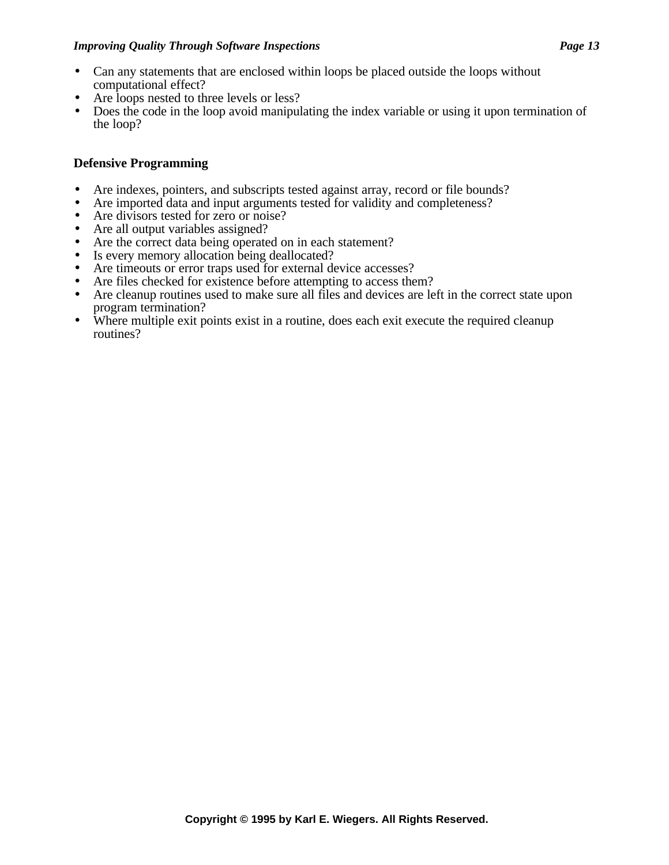- Can any statements that are enclosed within loops be placed outside the loops without computational effect?
- Are loops nested to three levels or less?
- Does the code in the loop avoid manipulating the index variable or using it upon termination of the loop?

## **Defensive Programming**

- Are indexes, pointers, and subscripts tested against array, record or file bounds?
- Are imported data and input arguments tested for validity and completeness?
- Are divisors tested for zero or noise?
- Are all output variables assigned?
- Are the correct data being operated on in each statement?
- Is every memory allocation being deallocated?
- Are timeouts or error traps used for external device accesses?
- Are files checked for existence before attempting to access them?
- Are cleanup routines used to make sure all files and devices are left in the correct state upon program termination?
- Where multiple exit points exist in a routine, does each exit execute the required cleanup routines?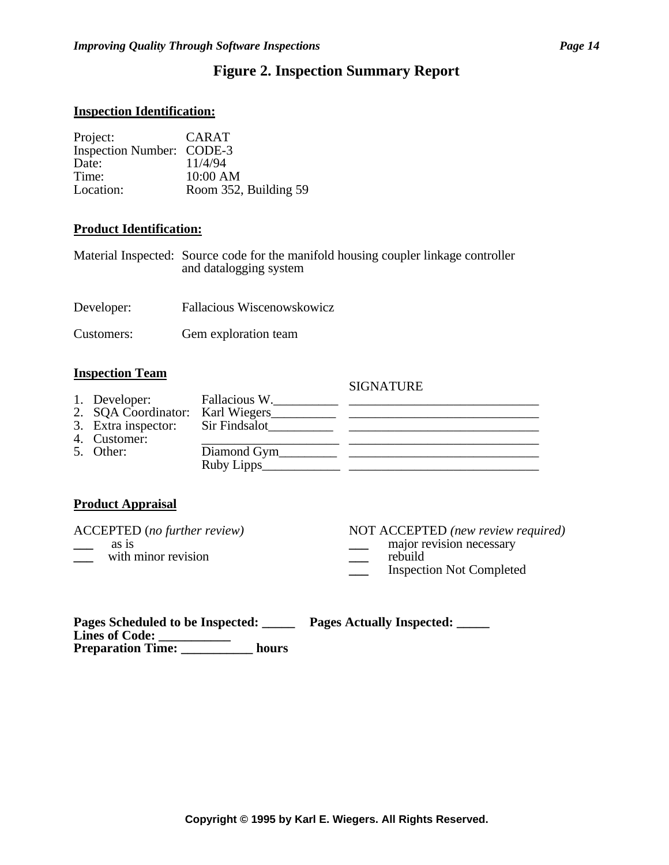## **Figure 2. Inspection Summary Report**

### **Inspection Identification:**

| Project:                  | <b>CARAT</b>          |
|---------------------------|-----------------------|
| Inspection Number: CODE-3 |                       |
| Date:                     | 11/4/94               |
| Time:                     | $10:00$ AM            |
| Location:                 | Room 352, Building 59 |

### **Product Identification:**

Material Inspected: Source code for the manifold housing coupler linkage controller and datalogging system

Developer: Fallacious Wiscenowskowicz

Customers: Gem exploration team

### **Inspection Team**

| <i>hippeenon</i> ream            |               | <b>SIGNATURE</b> |
|----------------------------------|---------------|------------------|
| 1. Developer:                    | Fallacious W. |                  |
| 2. SQA Coordinator: Karl Wiegers |               |                  |
| 3. Extra inspector:              | Sir Findsalot |                  |
| 4. Customer:                     |               |                  |
| 5. Other:                        | Diamond Gym_  |                  |
|                                  | Ruby Lipps_   |                  |

## **Product Appraisal**

| ACCEPTED (no further review)                  | NOT ACCEPTED (new review required)                                                      |
|-----------------------------------------------|-----------------------------------------------------------------------------------------|
| as is<br>$\frac{1}{2}$<br>with minor revision | major revision necessary<br>$\frac{1}{2}$<br>rebuild<br><b>Inspection Not Completed</b> |

| <b>Pages Scheduled to be Inspected:</b> | <b>Pages Actually Inspected:</b> |
|-----------------------------------------|----------------------------------|
| <b>Lines of Code:</b>                   |                                  |
| <b>Preparation Time:</b><br>hours       |                                  |